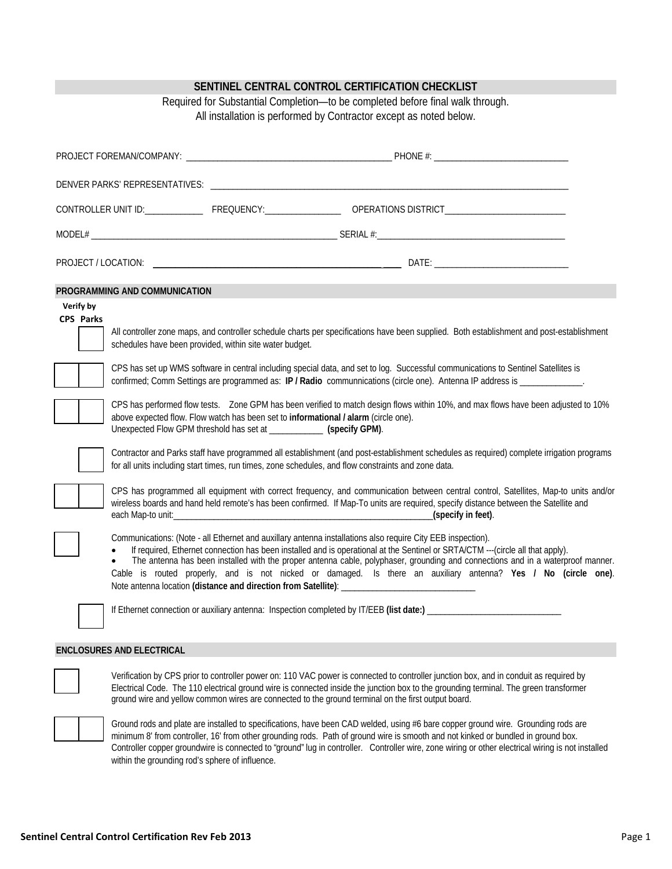|                                                                |                                                                                                                                                                                                                                                                                                                                                                                                                                                                                                                                                                                                                                                                 | SENTINEL CENTRAL CONTROL CERTIFICATION CHECKLIST<br>Required for Substantial Completion-to be completed before final walk through.<br>All installation is performed by Contractor except as noted below.                                                                                                                                                                                                                                                                                                                                                                                                                                                                                                                                                                                                                                                                                                                                                                                                                            |  |  |  |
|----------------------------------------------------------------|-----------------------------------------------------------------------------------------------------------------------------------------------------------------------------------------------------------------------------------------------------------------------------------------------------------------------------------------------------------------------------------------------------------------------------------------------------------------------------------------------------------------------------------------------------------------------------------------------------------------------------------------------------------------|-------------------------------------------------------------------------------------------------------------------------------------------------------------------------------------------------------------------------------------------------------------------------------------------------------------------------------------------------------------------------------------------------------------------------------------------------------------------------------------------------------------------------------------------------------------------------------------------------------------------------------------------------------------------------------------------------------------------------------------------------------------------------------------------------------------------------------------------------------------------------------------------------------------------------------------------------------------------------------------------------------------------------------------|--|--|--|
|                                                                |                                                                                                                                                                                                                                                                                                                                                                                                                                                                                                                                                                                                                                                                 |                                                                                                                                                                                                                                                                                                                                                                                                                                                                                                                                                                                                                                                                                                                                                                                                                                                                                                                                                                                                                                     |  |  |  |
|                                                                |                                                                                                                                                                                                                                                                                                                                                                                                                                                                                                                                                                                                                                                                 |                                                                                                                                                                                                                                                                                                                                                                                                                                                                                                                                                                                                                                                                                                                                                                                                                                                                                                                                                                                                                                     |  |  |  |
|                                                                |                                                                                                                                                                                                                                                                                                                                                                                                                                                                                                                                                                                                                                                                 |                                                                                                                                                                                                                                                                                                                                                                                                                                                                                                                                                                                                                                                                                                                                                                                                                                                                                                                                                                                                                                     |  |  |  |
|                                                                |                                                                                                                                                                                                                                                                                                                                                                                                                                                                                                                                                                                                                                                                 |                                                                                                                                                                                                                                                                                                                                                                                                                                                                                                                                                                                                                                                                                                                                                                                                                                                                                                                                                                                                                                     |  |  |  |
|                                                                |                                                                                                                                                                                                                                                                                                                                                                                                                                                                                                                                                                                                                                                                 |                                                                                                                                                                                                                                                                                                                                                                                                                                                                                                                                                                                                                                                                                                                                                                                                                                                                                                                                                                                                                                     |  |  |  |
| PROGRAMMING AND COMMUNICATION<br>Verify by<br><b>CPS Parks</b> | schedules have been provided, within site water budget.<br>Unexpected Flow GPM threshold has set at ____________ (specify GPM).                                                                                                                                                                                                                                                                                                                                                                                                                                                                                                                                 | All controller zone maps, and controller schedule charts per specifications have been supplied. Both establishment and post-establishment<br>CPS has set up WMS software in central including special data, and set to log. Successful communications to Sentinel Satellites is<br>confirmed; Comm Settings are programmed as: IP / Radio communnications (circle one). Antenna IP address is _____________.<br>CPS has performed flow tests. Zone GPM has been verified to match design flows within 10%, and max flows have been adjusted to 10%<br>above expected flow. Flow watch has been set to informational / alarm (circle one).<br>Contractor and Parks staff have programmed all establishment (and post-establishment schedules as required) complete irrigation programs<br>for all units including start times, run times, zone schedules, and flow constraints and zone data.<br>CPS has programmed all equipment with correct frequency, and communication between central control, Satellites, Map-to units and/or |  |  |  |
|                                                                | wireless boards and hand held remote's has been confirmed. If Map-To units are required, specify distance between the Satellite and<br>_(specify in feet).<br>Communications: (Note - all Ethernet and auxillary antenna installations also require City EEB inspection).<br>If required, Ethernet connection has been installed and is operational at the Sentinel or SRTA/CTM ---(circle all that apply).<br>The antenna has been installed with the proper antenna cable, polyphaser, grounding and connections and in a waterproof manner.<br>Cable is routed properly, and is not nicked or damaged. Is there an auxiliary antenna? Yes / No (circle one). |                                                                                                                                                                                                                                                                                                                                                                                                                                                                                                                                                                                                                                                                                                                                                                                                                                                                                                                                                                                                                                     |  |  |  |
|                                                                |                                                                                                                                                                                                                                                                                                                                                                                                                                                                                                                                                                                                                                                                 |                                                                                                                                                                                                                                                                                                                                                                                                                                                                                                                                                                                                                                                                                                                                                                                                                                                                                                                                                                                                                                     |  |  |  |
| <b>ENCLOSURES AND ELECTRICAL</b>                               |                                                                                                                                                                                                                                                                                                                                                                                                                                                                                                                                                                                                                                                                 |                                                                                                                                                                                                                                                                                                                                                                                                                                                                                                                                                                                                                                                                                                                                                                                                                                                                                                                                                                                                                                     |  |  |  |
|                                                                |                                                                                                                                                                                                                                                                                                                                                                                                                                                                                                                                                                                                                                                                 | Verification by CPS prior to controller power on: 110 VAC power is connected to controller junction box, and in conduit as required by<br>Electrical Code. The 110 electrical ground wire is connected inside the junction box to the grounding terminal. The green transformer<br>ground wire and yellow common wires are connected to the ground terminal on the first output board.                                                                                                                                                                                                                                                                                                                                                                                                                                                                                                                                                                                                                                              |  |  |  |

Ground rods and plate are installed to specifications, have been CAD welded, using #6 bare copper ground wire. Grounding rods are minimum 8' from controller, 16' from other grounding rods. Path of ground wire is smooth and not kinked or bundled in ground box. Controller copper groundwire is connected to "ground" lug in controller. Controller wire, zone wiring or other electrical wiring is not installed within the grounding rod's sphere of influence.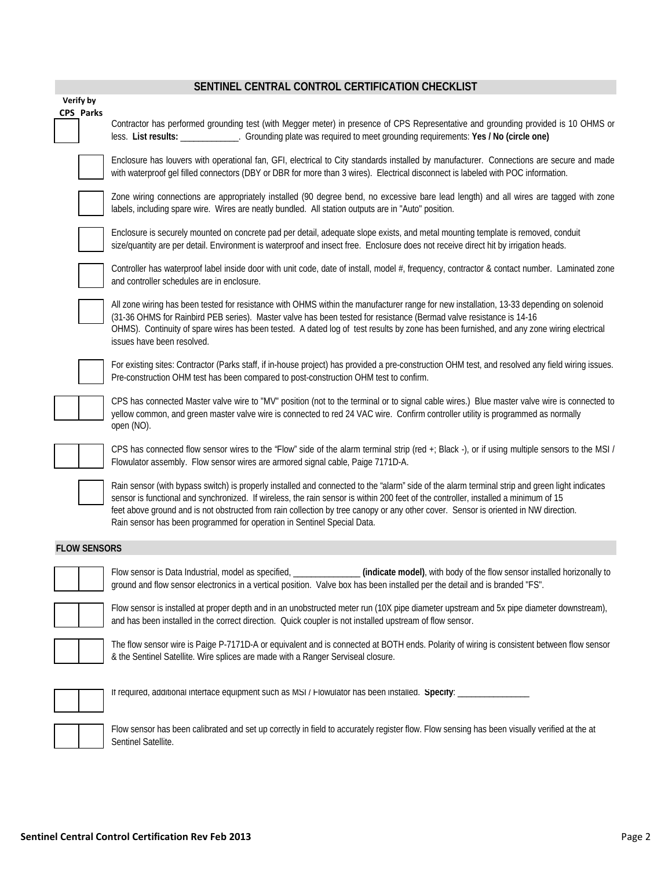# **SENTINEL CENTRAL CONTROL CERTIFICATION CHECKLIST**

| Verify by           |                                                                                                                                                                                                                                                                                                                                                                                                                                                                                                         |
|---------------------|---------------------------------------------------------------------------------------------------------------------------------------------------------------------------------------------------------------------------------------------------------------------------------------------------------------------------------------------------------------------------------------------------------------------------------------------------------------------------------------------------------|
| CPS Parks           | Contractor has performed grounding test (with Megger meter) in presence of CPS Representative and grounding provided is 10 OHMS or<br>less. List results: _____________. Grounding plate was required to meet grounding requirements: Yes / No (circle one)                                                                                                                                                                                                                                             |
|                     | Enclosure has louvers with operational fan, GFI, electrical to City standards installed by manufacturer. Connections are secure and made<br>with waterproof gel filled connectors (DBY or DBR for more than 3 wires). Electrical disconnect is labeled with POC information.                                                                                                                                                                                                                            |
|                     | Zone wiring connections are appropriately installed (90 degree bend, no excessive bare lead length) and all wires are tagged with zone<br>labels, including spare wire. Wires are neatly bundled. All station outputs are in "Auto" position.                                                                                                                                                                                                                                                           |
|                     | Enclosure is securely mounted on concrete pad per detail, adequate slope exists, and metal mounting template is removed, conduit<br>size/quantity are per detail. Environment is waterproof and insect free. Enclosure does not receive direct hit by irrigation heads.                                                                                                                                                                                                                                 |
|                     | Controller has waterproof label inside door with unit code, date of install, model #, frequency, contractor & contact number. Laminated zone<br>and controller schedules are in enclosure.                                                                                                                                                                                                                                                                                                              |
|                     | All zone wiring has been tested for resistance with OHMS within the manufacturer range for new installation, 13-33 depending on solenoid<br>(31-36 OHMS for Rainbird PEB series). Master valve has been tested for resistance (Bermad valve resistance is 14-16<br>OHMS). Continuity of spare wires has been tested. A dated log of test results by zone has been furnished, and any zone wiring electrical<br>issues have been resolved.                                                               |
|                     | For existing sites: Contractor (Parks staff, if in-house project) has provided a pre-construction OHM test, and resolved any field wiring issues.<br>Pre-construction OHM test has been compared to post-construction OHM test to confirm.                                                                                                                                                                                                                                                              |
|                     | CPS has connected Master valve wire to "MV" position (not to the terminal or to signal cable wires.) Blue master valve wire is connected to<br>yellow common, and green master valve wire is connected to red 24 VAC wire. Confirm controller utility is programmed as normally<br>open (NO).                                                                                                                                                                                                           |
|                     | CPS has connected flow sensor wires to the "Flow" side of the alarm terminal strip (red +; Black -), or if using multiple sensors to the MSI /<br>Flowulator assembly. Flow sensor wires are armored signal cable, Paige 7171D-A.                                                                                                                                                                                                                                                                       |
|                     | Rain sensor (with bypass switch) is properly installed and connected to the "alarm" side of the alarm terminal strip and green light indicates<br>sensor is functional and synchronized. If wireless, the rain sensor is within 200 feet of the controller, installed a minimum of 15<br>feet above ground and is not obstructed from rain collection by tree canopy or any other cover. Sensor is oriented in NW direction.<br>Rain sensor has been programmed for operation in Sentinel Special Data. |
| <b>FLOW SENSORS</b> |                                                                                                                                                                                                                                                                                                                                                                                                                                                                                                         |
|                     | Flow sensor is Data Industrial, model as specified, ________________ (indicate model), with body of the flow sensor installed horizonally to<br>ground and flow sensor electronics in a vertical position. Valve box has been installed per the detail and is branded "FS".                                                                                                                                                                                                                             |
|                     | Flow sensor is installed at proper depth and in an unobstructed meter run (10X pipe diameter upstream and 5x pipe diameter downstream),<br>and has been installed in the correct direction. Quick coupler is not installed upstream of flow sensor.                                                                                                                                                                                                                                                     |
|                     | The flow sensor wire is Paige P-7171D-A or equivalent and is connected at BOTH ends. Polarity of wiring is consistent between flow sensor<br>& the Sentinel Satellite. Wire splices are made with a Ranger Serviseal closure.                                                                                                                                                                                                                                                                           |
|                     | If required, additional interface equipment such as MSI / Flowulator has been installed. Specify: ___________                                                                                                                                                                                                                                                                                                                                                                                           |
|                     | Flow sensor has been calibrated and set up correctly in field to accurately register flow. Flow sensing has been visually verified at the at<br>Sentinel Satellite.                                                                                                                                                                                                                                                                                                                                     |
|                     |                                                                                                                                                                                                                                                                                                                                                                                                                                                                                                         |

**The State**